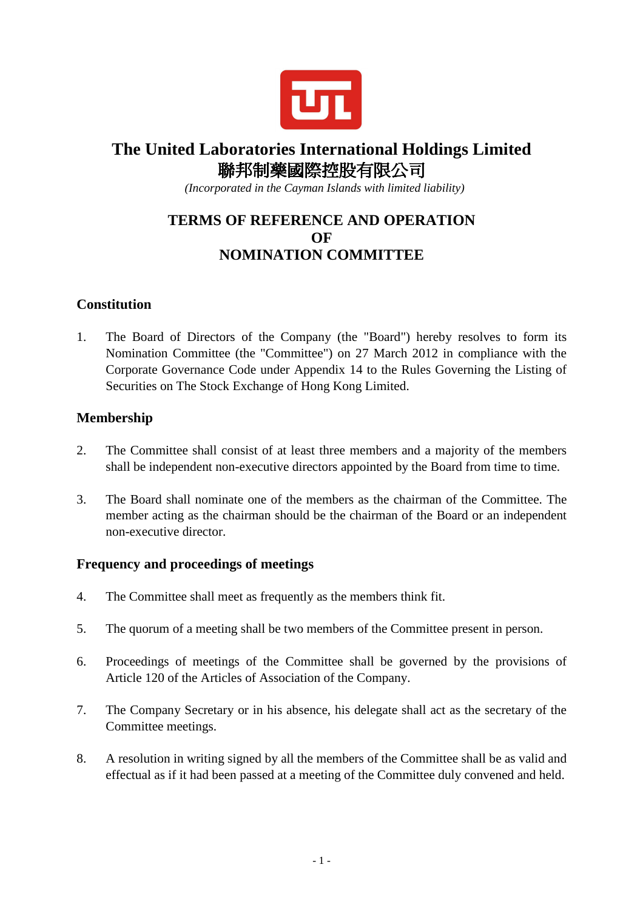

# **The United Laboratories International Holdings Limited**  聯邦制藥國際控股有限公司

 *(Incorporated in the Cayman Islands with limited liability)* 

# **TERMS OF REFERENCE AND OPERATION OF NOMINATION COMMITTEE**

## **Constitution**

1. The Board of Directors of the Company (the "Board") hereby resolves to form its Nomination Committee (the "Committee") on 27 March 2012 in compliance with the Corporate Governance Code under Appendix 14 to the Rules Governing the Listing of Securities on The Stock Exchange of Hong Kong Limited.

#### **Membership**

- 2. The Committee shall consist of at least three members and a majority of the members shall be independent non-executive directors appointed by the Board from time to time.
- 3. The Board shall nominate one of the members as the chairman of the Committee. The member acting as the chairman should be the chairman of the Board or an independent non-executive director.

#### **Frequency and proceedings of meetings**

- 4. The Committee shall meet as frequently as the members think fit.
- 5. The quorum of a meeting shall be two members of the Committee present in person.
- 6. Proceedings of meetings of the Committee shall be governed by the provisions of Article 120 of the Articles of Association of the Company.
- 7. The Company Secretary or in his absence, his delegate shall act as the secretary of the Committee meetings.
- 8. A resolution in writing signed by all the members of the Committee shall be as valid and effectual as if it had been passed at a meeting of the Committee duly convened and held.